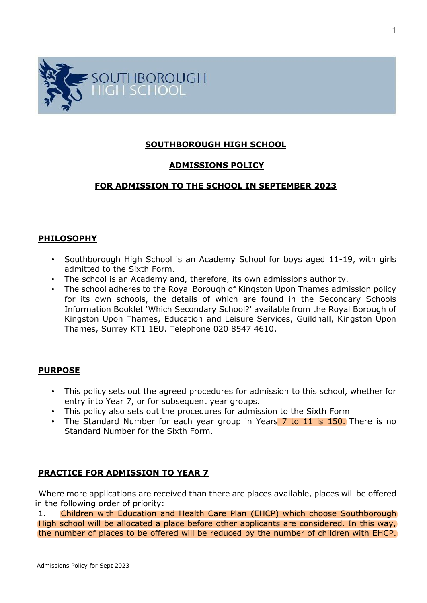

## **SOUTHBOROUGH HIGH SCHOOL**

## **ADMISSIONS POLICY**

# **FOR ADMISSION TO THE SCHOOL IN SEPTEMBER 2023**

### **PHILOSOPHY**

- Southborough High School is an Academy School for boys aged 11-19, with girls admitted to the Sixth Form.
- The school is an Academy and, therefore, its own admissions authority.
- The school adheres to the Royal Borough of Kingston Upon Thames admission policy for its own schools, the details of which are found in the Secondary Schools Information Booklet 'Which Secondary School?' available from the Royal Borough of Kingston Upon Thames, Education and Leisure Services, Guildhall, Kingston Upon Thames, Surrey KT1 1EU. Telephone 020 8547 4610.

### **PURPOSE**

- This policy sets out the agreed procedures for admission to this school, whether for entry into Year 7, or for subsequent year groups.
- This policy also sets out the procedures for admission to the Sixth Form
- The Standard Number for each year group in Years 7 to 11 is 150. There is no Standard Number for the Sixth Form.

## **PRACTICE FOR ADMISSION TO YEAR 7**

Where more applications are received than there are places available, places will be offered in the following order of priority:

1. Children with Education and Health Care Plan (EHCP) which choose Southborough High school will be allocated a place before other applicants are considered. In this way, the number of places to be offered will be reduced by the number of children with EHCP.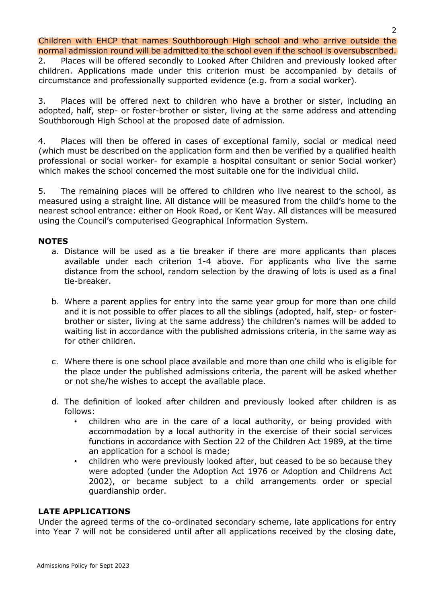Children with EHCP that names Southborough High school and who arrive outside the normal admission round will be admitted to the school even if the school is oversubscribed.

2. Places will be offered secondly to Looked After Children and previously looked after children. Applications made under this criterion must be accompanied by details of circumstance and professionally supported evidence (e.g. from a social worker).

3. Places will be offered next to children who have a brother or sister, including an adopted, half, step- or foster-brother or sister, living at the same address and attending Southborough High School at the proposed date of admission.

4. Places will then be offered in cases of exceptional family, social or medical need (which must be described on the application form and then be verified by a qualified health professional or social worker- for example a hospital consultant or senior Social worker) which makes the school concerned the most suitable one for the individual child.

5. The remaining places will be offered to children who live nearest to the school, as measured using a straight line. All distance will be measured from the child's home to the nearest school entrance: either on Hook Road, or Kent Way. All distances will be measured using the Council's computerised Geographical Information System.

## **NOTES**

- a. Distance will be used as a tie breaker if there are more applicants than places available under each criterion 1-4 above. For applicants who live the same distance from the school, random selection by the drawing of lots is used as a final tie-breaker.
- b. Where a parent applies for entry into the same year group for more than one child and it is not possible to offer places to all the siblings (adopted, half, step- or fosterbrother or sister, living at the same address) the children's names will be added to waiting list in accordance with the published admissions criteria, in the same way as for other children.
- c. Where there is one school place available and more than one child who is eligible for the place under the published admissions criteria, the parent will be asked whether or not she/he wishes to accept the available place.
- d. The definition of looked after children and previously looked after children is as follows:
	- children who are in the care of a local authority, or being provided with accommodation by a local authority in the exercise of their social services functions in accordance with Section 22 of the Children Act 1989, at the time an application for a school is made;
	- children who were previously looked after, but ceased to be so because they were adopted (under the Adoption Act 1976 or Adoption and Childrens Act 2002), or became subject to a child arrangements order or special guardianship order.

## **LATE APPLICATIONS**

Under the agreed terms of the co-ordinated secondary scheme, late applications for entry into Year 7 will not be considered until after all applications received by the closing date,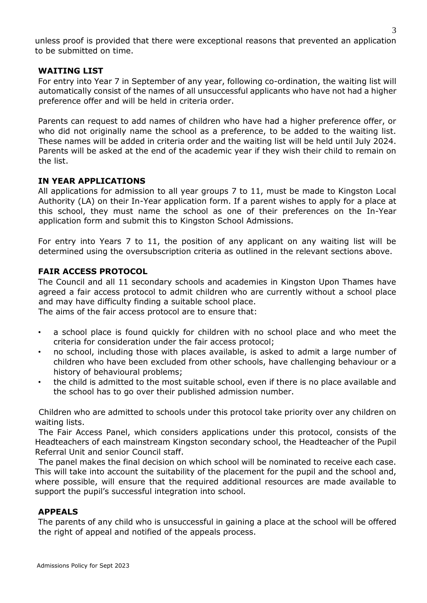unless proof is provided that there were exceptional reasons that prevented an application to be submitted on time.

## **WAITING LIST**

For entry into Year 7 in September of any year, following co-ordination, the waiting list will automatically consist of the names of all unsuccessful applicants who have not had a higher preference offer and will be held in criteria order.

Parents can request to add names of children who have had a higher preference offer, or who did not originally name the school as a preference, to be added to the waiting list. These names will be added in criteria order and the waiting list will be held until July 2024. Parents will be asked at the end of the academic year if they wish their child to remain on the list.

### **IN YEAR APPLICATIONS**

All applications for admission to all year groups 7 to 11, must be made to Kingston Local Authority (LA) on their In-Year application form. If a parent wishes to apply for a place at this school, they must name the school as one of their preferences on the In-Year application form and submit this to Kingston School Admissions.

For entry into Years 7 to 11, the position of any applicant on any waiting list will be determined using the oversubscription criteria as outlined in the relevant sections above.

### **FAIR ACCESS PROTOCOL**

The Council and all 11 secondary schools and academies in Kingston Upon Thames have agreed a fair access protocol to admit children who are currently without a school place and may have difficulty finding a suitable school place.

The aims of the fair access protocol are to ensure that:

- a school place is found quickly for children with no school place and who meet the criteria for consideration under the fair access protocol;
- no school, including those with places available, is asked to admit a large number of children who have been excluded from other schools, have challenging behaviour or a history of behavioural problems;
- the child is admitted to the most suitable school, even if there is no place available and the school has to go over their published admission number.

Children who are admitted to schools under this protocol take priority over any children on waiting lists.

The Fair Access Panel, which considers applications under this protocol, consists of the Headteachers of each mainstream Kingston secondary school, the Headteacher of the Pupil Referral Unit and senior Council staff.

The panel makes the final decision on which school will be nominated to receive each case. This will take into account the suitability of the placement for the pupil and the school and, where possible, will ensure that the required additional resources are made available to support the pupil's successful integration into school.

### **APPEALS**

The parents of any child who is unsuccessful in gaining a place at the school will be offered the right of appeal and notified of the appeals process.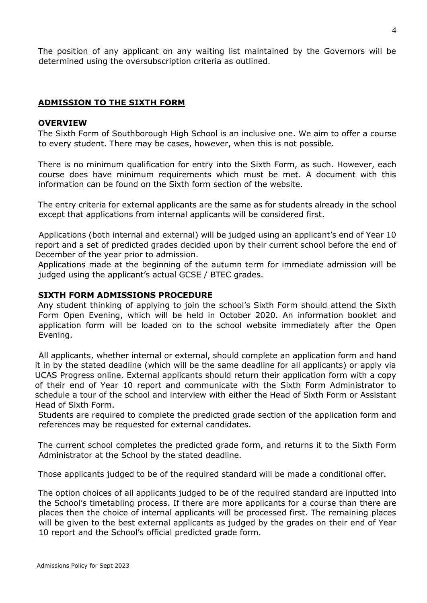The position of any applicant on any waiting list maintained by the Governors will be determined using the oversubscription criteria as outlined.

## **ADMISSION TO THE SIXTH FORM**

### **OVERVIEW**

The Sixth Form of Southborough High School is an inclusive one. We aim to offer a course to every student. There may be cases, however, when this is not possible.

There is no minimum qualification for entry into the Sixth Form, as such. However, each course does have minimum requirements which must be met. A document with this information can be found on the Sixth form section of the website.

The entry criteria for external applicants are the same as for students already in the school except that applications from internal applicants will be considered first.

Applications (both internal and external) will be judged using an applicant's end of Year 10 report and a set of predicted grades decided upon by their current school before the end of December of the year prior to admission.

Applications made at the beginning of the autumn term for immediate admission will be judged using the applicant's actual GCSE / BTEC grades.

### **SIXTH FORM ADMISSIONS PROCEDURE**

Any student thinking of applying to join the school's Sixth Form should attend the Sixth Form Open Evening, which will be held in October 2020. An information booklet and application form will be loaded on to the school website immediately after the Open Evening.

All applicants, whether internal or external, should complete an application form and hand it in by the stated deadline (which will be the same deadline for all applicants) or apply via UCAS Progress online. External applicants should return their application form with a copy of their end of Year 10 report and communicate with the Sixth Form Administrator to schedule a tour of the school and interview with either the Head of Sixth Form or Assistant Head of Sixth Form.

Students are required to complete the predicted grade section of the application form and references may be requested for external candidates.

The current school completes the predicted grade form, and returns it to the Sixth Form Administrator at the School by the stated deadline.

Those applicants judged to be of the required standard will be made a conditional offer.

The option choices of all applicants judged to be of the required standard are inputted into the School's timetabling process. If there are more applicants for a course than there are places then the choice of internal applicants will be processed first. The remaining places will be given to the best external applicants as judged by the grades on their end of Year 10 report and the School's official predicted grade form.